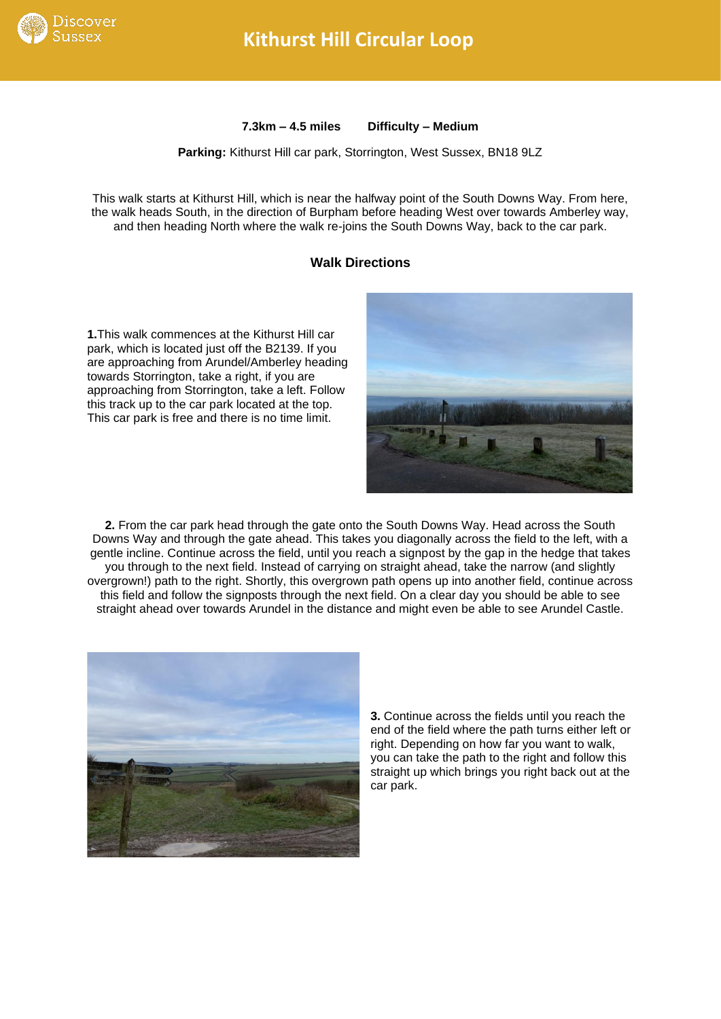

## **Kithurst Hill Circular Loop**

**7.3km – 4.5 miles Difficulty – Medium**

**Parking:** Kithurst Hill car park, Storrington, West Sussex, BN18 9LZ

This walk starts at Kithurst Hill, which is near the halfway point of the South Downs Way. From here, the walk heads South, in the direction of Burpham before heading West over towards Amberley way, and then heading North where the walk re-joins the South Downs Way, back to the car park.

## **Walk Directions**

**1.**This walk commences at the Kithurst Hill car park, which is located just off the B2139. If you are approaching from Arundel/Amberley heading towards Storrington, take a right, if you are approaching from Storrington, take a left. Follow this track up to the car park located at the top. This car park is free and there is no time limit.



**2.** From the car park head through the gate onto the South Downs Way. Head across the South Downs Way and through the gate ahead. This takes you diagonally across the field to the left, with a gentle incline. Continue across the field, until you reach a signpost by the gap in the hedge that takes you through to the next field. Instead of carrying on straight ahead, take the narrow (and slightly overgrown!) path to the right. Shortly, this overgrown path opens up into another field, continue across this field and follow the signposts through the next field. On a clear day you should be able to see straight ahead over towards Arundel in the distance and might even be able to see Arundel Castle.



**3.** Continue across the fields until you reach the end of the field where the path turns either left or right. Depending on how far you want to walk, you can take the path to the right and follow this straight up which brings you right back out at the car park.